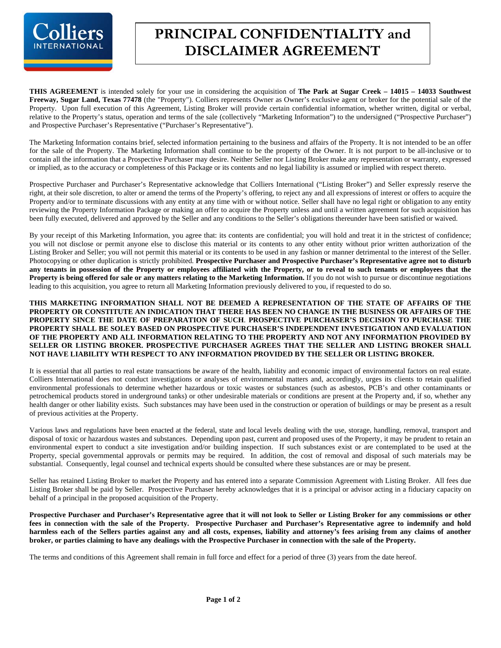

## **PRINCIPAL CONFIDENTIALITY and DISCLAIMER AGREEMENT**

**THIS AGREEMENT** is intended solely for your use in considering the acquisition of **The Park at Sugar Creek – 14015 – 14033 Southwest Freeway, Sugar Land, Texas 77478** (the "Property"). Colliers represents Owner as Owner's exclusive agent or broker for the potential sale of the Property. Upon full execution of this Agreement, Listing Broker will provide certain confidential information, whether written, digital or verbal, relative to the Property's status, operation and terms of the sale (collectively "Marketing Information") to the undersigned ("Prospective Purchaser") and Prospective Purchaser's Representative ("Purchaser's Representative").

The Marketing Information contains brief, selected information pertaining to the business and affairs of the Property. It is not intended to be an offer for the sale of the Property. The Marketing Information shall continue to be the property of the Owner. It is not purport to be all-inclusive or to contain all the information that a Prospective Purchaser may desire. Neither Seller nor Listing Broker make any representation or warranty, expressed or implied, as to the accuracy or completeness of this Package or its contents and no legal liability is assumed or implied with respect thereto.

Prospective Purchaser and Purchaser's Representative acknowledge that Colliers International ("Listing Broker") and Seller expressly reserve the right, at their sole discretion, to alter or amend the terms of the Property's offering, to reject any and all expressions of interest or offers to acquire the Property and/or to terminate discussions with any entity at any time with or without notice. Seller shall have no legal right or obligation to any entity reviewing the Property Information Package or making an offer to acquire the Property unless and until a written agreement for such acquisition has been fully executed, delivered and approved by the Seller and any conditions to the Seller's obligations thereunder have been satisfied or waived.

By your receipt of this Marketing Information, you agree that: its contents are confidential; you will hold and treat it in the strictest of confidence; you will not disclose or permit anyone else to disclose this material or its contents to any other entity without prior written authorization of the Listing Broker and Seller; you will not permit this material or its contents to be used in any fashion or manner detrimental to the interest of the Seller. Photocopying or other duplication is strictly prohibited. **Prospective Purchaser and Prospective Purchaser's Representative agree not to disturb any tenants in possession of the Property or employees affiliated with the Property, or to reveal to such tenants or employees that the Property is being offered for sale or any matters relating to the Marketing Information.** If you do not wish to pursue or discontinue negotiations leading to this acquisition, you agree to return all Marketing Information previously delivered to you, if requested to do so.

**THIS MARKETING INFORMATION SHALL NOT BE DEEMED A REPRESENTATION OF THE STATE OF AFFAIRS OF THE PROPERTY OR CONSTITUTE AN INDICATION THAT THERE HAS BEEN NO CHANGE IN THE BUSINESS OR AFFAIRS OF THE PROPERTY SINCE THE DATE OF PREPARATION OF SUCH**. **PROSPECTIVE PURCHASER'S DECISION TO PURCHASE THE PROPERTY SHALL BE SOLEY BASED ON PROSPECTIVE PURCHASER'S INDEPENDENT INVESTIGATION AND EVALUATION OF THE PROPERTY AND ALL INFORMATION RELATING TO THE PROPERTY AND NOT ANY INFORMATION PROVIDED BY SELLER OR LISTING BROKER. PROSPECTIVE PURCHASER AGREES THAT THE SELLER AND LISTING BROKER SHALL NOT HAVE LIABILITY WTH RESPECT TO ANY INFORMATION PROVIDED BY THE SELLER OR LISTING BROKER.** 

It is essential that all parties to real estate transactions be aware of the health, liability and economic impact of environmental factors on real estate. Colliers International does not conduct investigations or analyses of environmental matters and, accordingly, urges its clients to retain qualified environmental professionals to determine whether hazardous or toxic wastes or substances (such as asbestos, PCB's and other contaminants or petrochemical products stored in underground tanks) or other undesirable materials or conditions are present at the Property and, if so, whether any health danger or other liability exists. Such substances may have been used in the construction or operation of buildings or may be present as a result of previous activities at the Property.

Various laws and regulations have been enacted at the federal, state and local levels dealing with the use, storage, handling, removal, transport and disposal of toxic or hazardous wastes and substances. Depending upon past, current and proposed uses of the Property, it may be prudent to retain an environmental expert to conduct a site investigation and/or building inspection. If such substances exist or are contemplated to be used at the Property, special governmental approvals or permits may be required. In addition, the cost of removal and disposal of such materials may be substantial. Consequently, legal counsel and technical experts should be consulted where these substances are or may be present.

Seller has retained Listing Broker to market the Property and has entered into a separate Commission Agreement with Listing Broker. All fees due Listing Broker shall be paid by Seller. Prospective Purchaser hereby acknowledges that it is a principal or advisor acting in a fiduciary capacity on behalf of a principal in the proposed acquisition of the Property.

**Prospective Purchaser and Purchaser's Representative agree that it will not look to Seller or Listing Broker for any commissions or other fees in connection with the sale of the Property. Prospective Purchaser and Purchaser's Representative agree to indemnify and hold harmless each of the Sellers parties against any and all costs, expenses, liability and attorney's fees arising from any claims of another broker, or parties claiming to have any dealings with the Prospective Purchaser in connection with the sale of the Property.** 

The terms and conditions of this Agreement shall remain in full force and effect for a period of three (3) years from the date hereof.